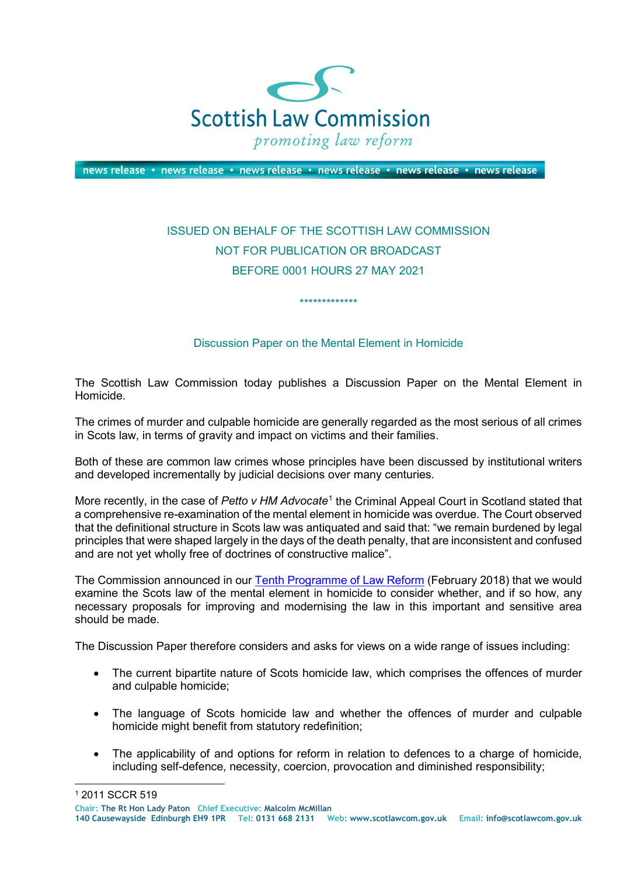

news release • news release • news release • news release • news release • news release

## ISSUED ON BEHALF OF THE SCOTTISH LAW COMMISSION NOT FOR PUBLICATION OR BROADCAST BEFORE 0001 HOURS 27 MAY 2021

## Discussion Paper on the Mental Element in Homicide

\*\*\*\*\*\*\*\*\*\*\*\*\*

The Scottish Law Commission today publishes a Discussion Paper on the Mental Element in Homicide.

The crimes of murder and culpable homicide are generally regarded as the most serious of all crimes in Scots law, in terms of gravity and impact on victims and their families.

Both of these are common law crimes whose principles have been discussed by institutional writers and developed incrementally by judicial decisions over many centuries.

More recently, in the case of *Petto v HM Advocate*[1](#page-0-0) the Criminal Appeal Court in Scotland stated that a comprehensive re-examination of the mental element in homicide was overdue. The Court observed that the definitional structure in Scots law was antiquated and said that: "we remain burdened by legal principles that were shaped largely in the days of the death penalty, that are inconsistent and confused and are not yet wholly free of doctrines of constructive malice".

The Commission announced in our [Tenth Programme of Law Reform](https://www.scotlawcom.gov.uk/law-reform/tenth-programme-of-law-reform-consultation/) (February 2018) that we would examine the Scots law of the mental element in homicide to consider whether, and if so how, any necessary proposals for improving and modernising the law in this important and sensitive area should be made.

The Discussion Paper therefore considers and asks for views on a wide range of issues including:

- The current bipartite nature of Scots homicide law, which comprises the offences of murder and culpable homicide;
- The language of Scots homicide law and whether the offences of murder and culpable homicide might benefit from statutory redefinition;
- The applicability of and options for reform in relation to defences to a charge of homicide, including self-defence, necessity, coercion, provocation and diminished responsibility;

<span id="page-0-0"></span> <sup>1</sup> 2011 SCCR 519

**Chair: The Rt Hon Lady Paton Chief Executive: Malcolm McMillan**

**<sup>140</sup> Causewayside Edinburgh EH9 1PR Tel: 0131 668 2131 Web: www.scotlawcom.gov.uk Email: info@scotlawcom.gov.uk**